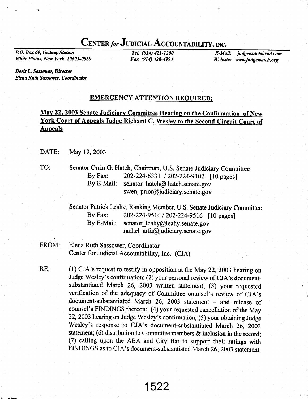# CENTER for JUDICIAL ACCOUNTABILITY, INC.

P.O. Box 69, Gedney Station White Plains, New York 10605-0069

TeL (914) 421-1200 Fax (914) 428-4994

E-Mail: judgewatch@aol.com Website: www.judgewatch.org

Doris L. Sassower, Director Elena Ruth Sassower, Coordinator

## EMERGENCY ATTENTION REOUIRED:

Mav 22. 2003 Senate Judiciarv Committee Hearing on the Confirmation of New York Court of Appeals Judge Richard C. Wesley to the Second Circuit Court of **Appeals** 

DATE: May 19,2003

TO: Senator Orrin G. Hatch, Chairman, U.S. Senate Judiciary Committee By Fax:  $202-224-6331 / 202-224-9102$  [10 pages]<br>By E-Mail: senator hatch@ hatch.senate.gov senator hatch $@$  hatch.senate.gov swen  $prior@judiciary.$  senate. gov

> Senator Patrick Leahy, Ranking Member, U.S. Senate Judiciary Committee By Fax: 202-224-9516 / 202-224-9516 [10 pages]<br>By E-Mail: senator leahy@leahy.senate.gov senator  $leahy@leahy.$ senate.gov rachel  $arfa@judiciary.$  senate. gov

FROM: Elena Ruth Sassower, Coordinator Center for Judicial Accountability, Inc. (CJA)

(l) cJA's request to testify in opposition at the May 22,2003 hearing on Judge wesley's confirmation; (2) your personal review of cJA's documentsubstantiated March 26, 2003 written statement; (3) your requested verification of the adequacy of Committee counsel's review of CJA's document-substantiated March 26, 2003 statement - and release of counsel's FINDINGS thereon; (4) your requested cancellation of the May 22,2003 hearing on Judge wesley's confirmation; (5) your obtaining Judge wesley's response to cJA's document-substantiated March 26, 2oo3 statement; (6) distribution to Committee members & inclusion in the record: (7) calling upon the ABA and city Bar to support their ratings with FINDINGS as to CJA's document-substantiated March 26,2003 statement. RE: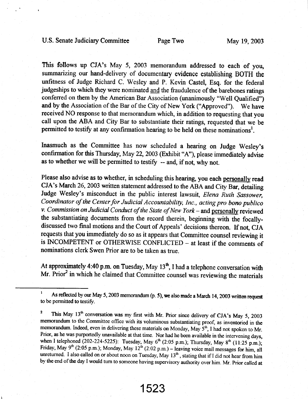This follows up CJA's May 5, 2003 memorandum addressed to each of you, summarizing our hand-delivery of documentary evidence establishing BOTH the unfitness of Judge Richard C. Wesley and P. Kevin Castel, Esq. for the federal judgeships to which they were nominated and the fraudulence of the barebones ratings conferred on them by the American Bar Association (unanimously "Well Qualified") and by the Association of the Bar of the City of New York ("Approved"). We have received NO response to that memorandum which, in addition to requesting that you call upon the ABA and City Bar to substantiate their ratings, requested that we be permitted to testify at any confirmation hearing to be held on these nominations<sup>1</sup>.

Inasmuch as the Committee has now scheduled a hearing on Judge Wesley's confirmation for this Thursday, May 22,2003 (Exhibit "A"), please immediately advise as to whether we will be permitted to testify  $-$  and, if not, why not.

Please also advise as to whether, in scheduling this hearing, you each personally read CJA's March 26,2003 written statement addressed to the ABA and City Bar, detailing Judge Wesley's misconduct in the public interest lawsuit, Elena Ruth Sassower, Coordinator of the Center for Judicial Accountability, Inc., acting pro bono publico v. Commission on Judicial Conduct of the State of New York - and personally reviewed the substantiating documents from the record therein, beginning with the focallydiscussed two final motions and the Court of Appeals' decisions thereon. If not, CJA requests that you immediately do so as it appears that Commiffee counsel reviewing it is INCOMPETENT or OTHERWISE CONFLICTED - at least if the comments of nominations clerk Swen Prior are to be taken as true.

At approximately 4:40 p.m. on Tuesday, May  $13<sup>th</sup>$ , I had a telephone conversation with Mr. Prior<sup>2</sup> in which he claimed that Committee counsel was reviewing the materials

1 As reflected by our May 5, 2003 memorandum (p. 5), we also made a March 14, 2003 written request to be permitted to testify.

<sup>2</sup> This May 13<sup>th</sup> conversation was my first with Mr. Prior since delivery of CJA's May 5, 2003 memorandum to the Committee office with its voluminous substantiating proof, as inventoried in the memorandum. Indeed, even in delivering these materials on Monday, May  $S<sup>th</sup>$ , I had not spoken to Mr. Prior, as he was purportedly unavailable at that time. Nor had he been available in the intervening days, when I telephoned (202-224-5225): Tuesday, May  $6<sup>th</sup>$  (2:05 p.m.); Thursday, May  $8<sup>th</sup>$  (11:25 p.m.); Friday, May 9<sup>th</sup> (2:05 p.m.); Monday, May  $12^{th}$  (2:02 p.m.) - leaving voice mail messages for him, all unreturned. I also called on or about noon on Tuesday, May 13<sup>th</sup>, stating that if I did not hear from him by the end of the day I would turn to someone having supervisory authority over him. Mr. Prior called at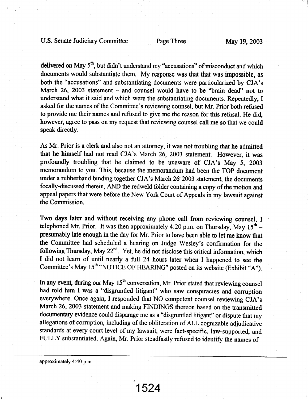delivered on May 5<sup>th</sup>, but didn't understand my "accusations" of misconduct and which documents would substantiate them. My response was that that was impossible, as both the "accusations" and substantiating documents were particularized by CJA's March 26, 2003 statement – and counsel would have to be "brain dead" not to understand what it said and which were the substantiating documents. Repeatedly, I asked for the names of the Committee's reviewing counsel, but Mr. Prior both refused to provide me their names and refused to give me the reason for this refusal. He did, however, agree to pass on my request that reviewing counsel call me so that we could speak directly.

As Mr. Prior is a clerk and also not an attorney, it was not troubling that he admitted that he himself had not read CJA's March 26, 2003 statement. However, it was profoundly froubling that he claimed to be unaware of CJA's May 5, 2003 memorandum to you. This, because the memorandum had been the TOP document under a rubberband binding together CJA's March 26' 2003 statement, the documents focally-discussed therein, AND the redweld folder containing a copy of the motion and appeal papers that were before the New York Court of Appeals in my lawsuit against the Commission.

Two days later and without receiving any phone call from reviewing counsel, I telephoned Mr. Prior. It was then approximately 4:20 p.m. on Thursday, May  $15<sup>th</sup>$  – presumably late enough in the day for Mr. Prior to have been able to let me know that the Committee had scheduled a hearing on Judge Wesley's confinnation for the following Thursday, May  $22^{nd}$ . Yet, he did not disclose this critical information, which I did not learn of until nearly a full 24 hours later when I happened to see the Committee's May 15<sup>th</sup> "NOTICE OF HEARING" posted on its website (Exhibit "A").

In any event, during our May  $15<sup>th</sup>$  conversation, Mr. Prior stated that reviewing counsel had told him I was a "disgruntled litigant" who saw conspiracies and corruption everywhere. Once again, I responded that NO competent counsel reviewing CJA's March 26, 2003 statement and making FINDINGS thereon based on the transmitted documentary evidence could disparage me as a "disgruntled litigant" or dispute that my allegations of corruption, including of the obliteration of ALL cognizable adjudicative standards at every court level of my lawsuit, were fact-specific, law-supported, and FULLY substantiated. Again, Mr. Prior steadfastly refused to identify the names of

approximately 4:40 p.m.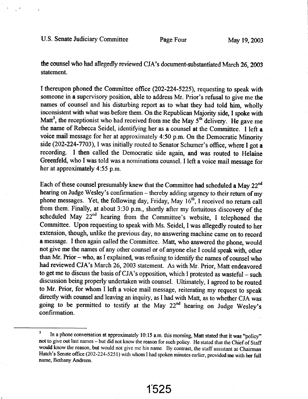the counsel who had allegedly reviewed CJA's document-substantiated March 26, 2003 statement.

I thereupon phoned the Commiffee office (202-224-5225), requesting to speak with someone in a supervisory position, able to address Mr. Prior's refusal to give me the names of counsel and his disturbing report as to what they had told him, wholly inconsistent with what was before them. On the Republican Majority side, I spoke with Matt<sup>3</sup>, the receptionist who had received from me the May  $5<sup>th</sup>$  delivery. He gave me the name of Rebecca Seidel, identifying her as a counsel at the Committee. I left a voice mail message for her at approximately 4:50 p.m. On the Democratic Minority side (202-224-7703), I was initially routed to Senator Schumer's office, where I got a recording. I then called the Democratic side again, and was routed to Helaine Greenfeld, who I was told was a nominations counsel. I left a voice mail message for her at approximately 4:55 p.m.

Each of these counsel presumably knew that the Committee had scheduled a May  $22^{nd}$ hearing on Judge Wesley's confirmation - thereby adding urgency to their return of my phone messages. Yet, the following day, Friday, May 16<sup>th</sup>, I received no return call from them. Finally, at about 3:30 p.m., shortly after my fortuitous discovery of the scheduled May 22<sup>nd</sup> hearing from the Committee's website, I telephoned the Committee. Upon requesting to speak with Ms. Seidel, Iwas allegedly routed to her extension, though, unlike the previous day, no answering machine came on to record a message. I then again called the Committee. Matt, who answered the phone, would not give me the names of any other counsel or of anyone else I could speak with, other than Mr. Prior  $-$  who, as I explained, was refusing to identify the names of counsel who had reviewed CJA's March 26,2003 statement. As with Mr. Prior, Matt endeavored to get me to discuss the basis of CJA's opposition, which I protested as wasteful – such discussion being properly undertaken with counsel. Ultimately, I agreed to be routed to Mr. Prior, for whom I left a voice mail message, reiterating my request to speak directly with counsel and leaving an inquiry, as I had with Matt, as to whether CJA was going to be permitted to testify at the May  $22<sup>nd</sup>$  hearing on Judge Wesley's confrrmation.

<sup>&</sup>lt;sup>3</sup> In a phone conversation at approximately 10:15 a.m. this morning, Matt stated that it was "policy" not to give out last names - but did not know the reason for such policy. He stated that the Chief of Staff would know the reason, but would not give me his name. By contrast, the staff assistant at Chairman Hatch's Senate office (202-224-5251) with whom I had spoken minutes earlier, provided me with her full name, Bethany Andreen.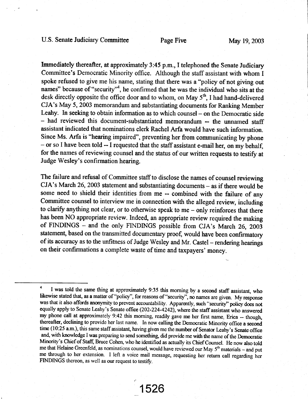## U.S. Senate Judiciary Committee Page Five May 19, 2003

Immediately thereafter, at approximately 3:45 p.m., I telephoned the Senate Judiciary Committee's Democratic Minority office. Although the staff assistant with whom I spoke refused to give me his name, stating that there was a "policy of not giving out names" because of "security"<sup>4</sup>, he confirmed that he was the individual who sits at the desk directly opposite the office door and to whom, on May  $5<sup>th</sup>$ , I had hand-delivered CJA's May 5, 2003 memorandum and substantiating documents for Ranking Member Leahy. In seeking to obtain information as to which counsel - on the Democratic side - had reviewed this document-substantiated memorandum -- the unnamed staff assistant indicated that nominations clerk Rachel Arfa would have such information. Since Ms. Arfa is "hearing impaired", preventing her from communicating by phone - or so I have been told -- I requested that the staff assistant e-mail her, on my behalf, for the names of reviewing counsel and the status of our written requests to testify at Judge Wesley's confirmation hearing.

The failure and refusal of Committee staff to disclose the names of counsel reviewing  $CJA's March 26, 2003 statement and substituting documents – as if there would be$ some need to shield their identities from me -- combined with the failure of any Committee counsel to interview me in connection with the alleged review, including to clarify anything not clear, or to otherwise speak to me - only reinforces that there has been NO appropriate review. Indeed, an appropriate review required the making of FINDINGS - and the only FINDINGS possible from CJA's March 26, 2003 statement, based on the transmitted documentary proof, would have been confirmatory of its accuracy as to the unfitness of Judge Wesley and Mr. Castel - rendering hearings on their confirmations a complete waste of time and taxpayers' money.

1526

l -

I was told the same thing at approximately 9:35 this morning by a second staff assistant, who likewise stated that, as a matter of "policy", for reasons of "security", no names are given. My response was that it also affords anonymity to prevent accountability. Apparently, such "security" policy does not equally apply to Senate Leahy's Senate office (202-224-4242), where the staff assistant who answered my phone call at approximately 9:42 this morning, readily gave me her first name, Erica -- though, thereafter, declining to provide her last name. In now calling the Democratic Minority office a second time (10:25 a.m.), this same staff assistant, having given me the number of Senator Leahy's Senate office and, with knowledge I was preparing to send something, did provide me with the name of the Democratic Minority's Chief of Staff, Bruce Cohen, who he identified as actually its Chief Counsel. He now also told me that Helaine Greenfeld, as nominations counsel, would have reviewed our May 5<sup>th</sup> materials - and put me through to her extension. I left a voice mail message, requesting her return call regarding her FINDINGS thereon, as well as our request to testify.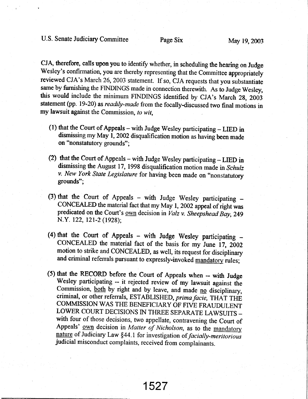CJA, therefore, calls upon you to identify whether, in scheduling the hearing on Judge Wesley's confirmation, you are thereby representing that the Committee appropriately reviewed CJA's March 26,2003 statement. If so, CJA requests that you substantiate same by furnishing the FINDINGS made in connection therewith. As to Judge Wesley, this would include the minimum FINDINGS identified by CJA's March 28, 2OO3 statement (pp. 19-20) as *readily-made* from the focally-discussed two final motions in my lawsuit against the Commission, to wit,

- (1) that the Court of Appeals with Judge Wesley participating  $-$  LIED in dismissing my May 1, 2002 disqualification motion as having been made on "nonstafutory grounds";
- (2) that the Court of Appeals with Judge Wesley participating  $-$  LIED in dismissing the August 17, 1998 disqualification motion made in Schulz v. New York State Legislature for having been made on "nonstatutory grounds";
- (3) that the Court of Appeals with Judge Wesley participating  $-$ CONCEALED the material fact that my May 1, 2002 appeal of right was predicated on the Court's own decision in Valz v. Sheepshead Bay, 249 N.Y. 122, 121-2 (1928);
- (4) that the Court of Appeals with Judge Wesley participating  $-$ CONCEALED the material fact of the basis for my June 17, 2002 motion to strike and CONCEALED, as well, its request for disciplinary and criminal referrals pursuant to expressly-invoked mandatory rules;
- (5) that the RECoRD before the court of Appeals when -- with Judge wesley participating - it rejected review of my lawsuit against the Commission, both by right and by leave, and made no disciplinary, criminal, or other referrals, ESTABLISHED, prima facie, THAT THE COMMISSION WAS THE BENEFICIARY OF FTVE FRAUDULENT LOWER COURT DECISIONS IN THREE SEPARATE LAWSUITS with four of those decisions, two appellate, contravening the Court of Appeals' own decision in Matter of Nicholson, as to the mandatory nature of Judiciary Law §44.1 for investigation of *facially-meritorious* judicial misconduct complaints, received from complainants.

1527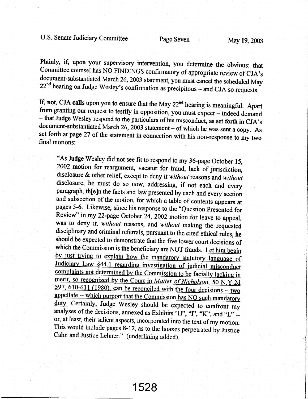Plainly, if, upon your supervisory intervention, you determine the obvious: that<br>Committee counsel has NO FINDINGS confirmatory of appropriate review of CJA's<br>document-substantiated March 26, 2003 statement, you must canc

If, not, CJA calls upon you to ensure that the May  $22^{nd}$  hearing is meaningful. Apart<br>from granting our request to testify in opposition, you must expect – indeed demand<br>– that Judge Wesley respond to the particulars of

\*As Judge wesley did not see fit to respond to my 36-page october 15, 2002 motion for reargument, vacatur for fraud, lack of jurisdiction, disclosure & other relief, except to deny it without reasons and without disclosure, he must do so now, addressing, if not each and every paragraph, the late facts and law presented by each and every section and subsection of the motion, for which a table of contents appears at pages 5-6. Likewise, since his response to the "Question Presented for Review" in my 22-page October 24, 2002 motion for leave to appeal, was to deny it, without reasons, and without making the requested disciplinary and criminal referrals, pursuant to the cited ethical rules, he should be expected to demonstrate that the five lower court decisions of which the Commission is the beneficiary are NOT frauds. Let him begin<br>by just trying to explain how the mandatory statutory language of Judiciary Law §44.1 regarding investigation of judicial misconduct complaints not determined by the Commission to be facially lacking in merit, so recognized by the Court in Matter of Nicholson, 50 N.Y.2d 597, 610-611 (1980), can be reconciled with the four decisions – two appellate -- which purport that the Commission has NO such mandatory duty. Certainly, Judge Wesley should be expected to confront my analyses of the decisions, annexed as Exhibits "H", "T", "K", and "L" --<br>or, at least, their salient aspects, incorporated into the text of my motion. This would include pages 8-12, as to the hoaxes perpetrated by Justice Cahn and Justice Lehner." (underlining added).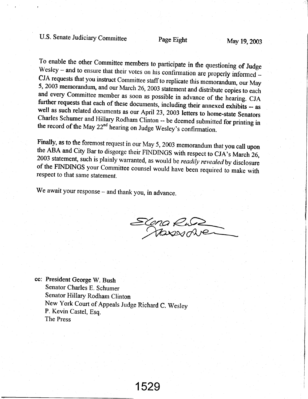To enable the other Committee members to participate in the questioning of Judge Wesley – and to ensure that their votes on his confirmation are properly informed – CJA requests that you instruct Committee staff to replica 5, 2003 memorandum, and our March 26, 2003 statement and distribute copies to each<br>and every Committee member as soon as possible in advance of the hearing. CJA<br>further requests that each of these documents, including the

Finally, as to the foremost request in our May 5, 2003 memorandum that you call upon<br>the ABA and City Bar to disgorge their FINDINGS with respect to CJA's March 26,<br>2003 statement, such is plainly warranted, as would be *r* 

We await your response - and thank you, in advance.

Elena k Hasser

cc: President George W. Bush Senator Charles E. Schumer Senator Hillary Rodham Clinton New York Court of Appeals Judge Richard C. Weslev P. Kevin Castel, Esq. The Press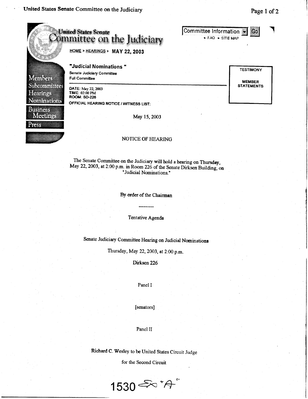rtin

#### **United States Senate** Committee Information 60 . FAQ . SITE MAP ommittee on the Judiciary HOME > HEARINGS > MAY 22, 2003 "Judicial Nominations " **TESTIMONY** Senate Judiciary Committee NG 1988 NG **Full Committee MEMBER START TELEVISION STATEMENTS** DATE: May 22, 2003 libili X TIME: 02:00 PM **ROOM: SD-226** Nimira a c OFFICIAL HEARING NOTICE / WITNESS LIST: **Bishes** Menic May 15, 2003

### NOTICE OF HEARING

The Senate Committee on the Judiciary will hold a hearing on Thursday, May 22, 2003, at 2:00 p.m. in Room 226 of the Senate Dirksen Building, on "Judicial Nominations."

By order of the Chairman

Tentative Agenda

Senate Judiciary Committee Hearing on Judicial Nominations

Thursday, May 22, 2003, at 2:00 p.m.

Dirksen 226

Panel I

[senators]

Panel II

Richard C. Wesley to be United States Circuit Judge

for the Second Circuit

1530  $\stackrel{\sim}{\leadsto}$  \* $\stackrel{\sim}{\pi}$ 

Page 1 of 2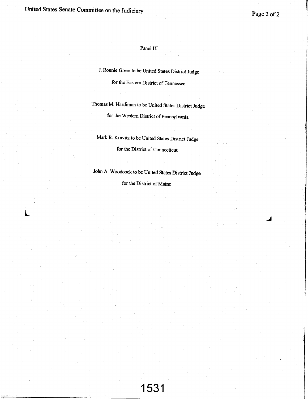United States Senate Committee on the Judiciary

L

j

### Panel III

J. Ronnie Greer to be United States District Judge

for the Eastern District of Tennessee

Thomas M. Hardiman to be United States District Judge for the Western District of pennsvlvania

Mark R. Kravitz to be United States District Judge for the District of Connecticut

John A. Woodcock to be United States District Judge

for the District of Maine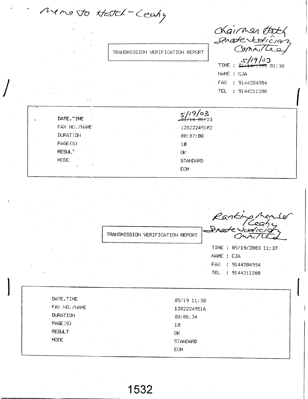Menoto Hatch-Ceany

TRANSMISSION VERIFICATION REPORT

Chairman that Senate Vodician TIME :  $\frac{\sqrt{19}}{21441335}$  01:30 NAME : CJA

FAX : 9144284994 TEL : 9144211200

| $\sim$ $\sim$      |                      |  |
|--------------------|----------------------|--|
| DATE, TIME         | <del>14 81.</del> 23 |  |
| FAX NO. /NAME      | 12022249102          |  |
| <b>DURATION</b>    | 00:07:08             |  |
| PAGE(S)            | 10                   |  |
| RESUL <sup>+</sup> | ΟK                   |  |
| MODE.              | STANDARD             |  |
|                    | <b>ECM</b>           |  |
|                    |                      |  |

Ranking Member<br>Brade Judicion TRANSMISSION VERIFICATION REPORT TIME : 05/19/2003 11:37 NAME : CJA FAX : 9144284994 TEL : 9144211200 DATE, TIME 05/19 11:30 FAX NO. /NAME 12022249516 **DURATION** 00:06:34 PAGE (S)  $10$ **RESULT** OK. **MODE** STANDARD ECM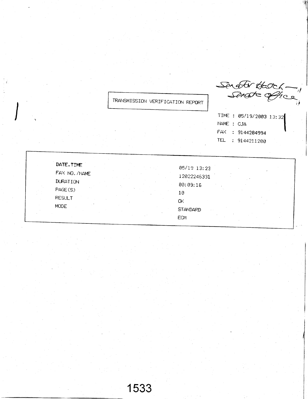TRANSMISSION VERIFICATION REPORT

Senator Hatch -

TIME : 05/19/2003 13:32 NAME : CJA FAX : 9144284994 TEL : 9144211200

| DATE, TIME    |             |  |
|---------------|-------------|--|
|               | 05/19 13:23 |  |
| FAX NO. /NAME | 12022246331 |  |
| DURATION      | 00:09:16    |  |
| PAGE(S)       | 10          |  |
| <b>RESULT</b> | OΚ          |  |
| <b>MODE</b>   | STANDARD    |  |
|               | <b>ECM</b>  |  |